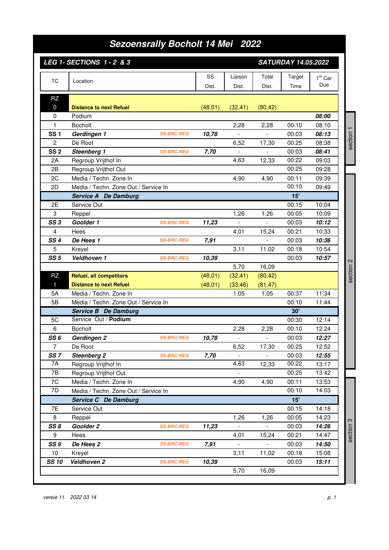## *Sezoensrally Bocholt 14 Mei 2022*

|                       | LEG 1- SECTIONS 1 - 2 & 3                 |                   |          |                | <b>SATURDAY 14.05.2022</b> |                |                |           |  |
|-----------------------|-------------------------------------------|-------------------|----------|----------------|----------------------------|----------------|----------------|-----------|--|
| <b>TC</b>             | Location                                  |                   | SS       | Liaison        | Total                      | Target         | $1st$ Car      |           |  |
|                       |                                           |                   | Dist.    | Dist.          | Dist.                      | Time           | Due            |           |  |
| RZ                    |                                           |                   |          |                |                            |                |                |           |  |
| $\mathbf 0$           | <b>Distance to next Refuel</b>            |                   | (48, 01) | (32, 41)       | (80, 42)                   |                |                |           |  |
| 0                     | Podium                                    |                   |          |                |                            |                | 08:00          |           |  |
| 1                     | <b>Bocholt</b>                            |                   |          | 2,28           | 2,28                       | 00:10          | 08:10          |           |  |
| <b>SS1</b>            | Gerdingen 1                               | <b>SS-BRC-REG</b> | 10,78    | $\overline{a}$ |                            | 00:03          | 08:13          | section 1 |  |
| 2                     | De Root                                   |                   |          | 6,52           | 17,30                      | 00:25          | 08:38          |           |  |
| SS <sub>2</sub><br>2A | Steenberg 1<br>Regroup Vrijthof In        | <b>SS-BRC-REG</b> | 7,70     | 4,63           | 12,33                      | 00:03<br>00:22 | 08:41<br>09:03 |           |  |
| 2B                    | Regroup Vrijthof Out                      |                   |          |                |                            | 00:25          | 09:28          |           |  |
| 2C                    | Media / Techn. Zone In                    |                   |          | 4,90           | 4,90                       | 00:11          | 09:39          |           |  |
| 2D                    | Media / Techn. Zone Out / Service In      |                   |          |                |                            | 00:10          | 09:49          |           |  |
|                       | <b>Service A</b> De Damburg               |                   |          |                |                            | 15'            |                |           |  |
| 2E                    | Service Out                               |                   |          |                |                            | 00:15          | 10:04          |           |  |
| 3                     | Reppel                                    |                   |          | 1,26           | 1,26                       | 00:05          | 10:09          |           |  |
| SS <sub>3</sub>       | Goolder 1                                 | <b>SS-BRC-REG</b> | 11,23    |                |                            | 00:03          | 10:12          |           |  |
| 4                     | Hees                                      |                   |          | 4,01           | 15,24                      | 00:21          | 10:33          |           |  |
| SS <sub>4</sub>       | De Hees 1                                 | <b>SS-BRC-REG</b> | 7,91     |                | $\overline{a}$             | 00:03          | 10:36          |           |  |
| 5                     | Kreyel                                    |                   |          | 3,11           | 11,02                      | 00:18          | 10:54          |           |  |
| SS <sub>5</sub>       | Veldhoven 1                               | <b>SS-BRC-REG</b> | 10,39    | 5,70           | 16,09                      | 00:03          | 10:57          |           |  |
| <b>RZ</b>             | <b>Refuel, all competitors</b>            |                   | (48, 01) | (32, 41)       | (80, 42)                   |                |                | section 2 |  |
| 1                     | <b>Distance to next Refuel</b>            |                   | (48, 01) | (33, 46)       | (81, 47)                   |                |                |           |  |
| 5A                    | Media / Techn. Zone In                    |                   |          | 1,05           | 1,05                       | 00:37          | 11:34          |           |  |
| 5B                    | Media / Techn. Zone Out / Service In      |                   |          |                |                            | 00:10          | 11:44          |           |  |
|                       | Service B De Damburg                      |                   |          |                | 30'                        |                |                |           |  |
| 5C                    | Service Out / Podium                      |                   |          |                |                            | 00:30          | 12:14          |           |  |
| 6                     | <b>Bocholt</b>                            |                   |          | 2,28           | 2,28                       | 00:10          | 12:24          |           |  |
| SS6                   | Gerdingen 2                               | <b>SS-BRC-REG</b> | 10,78    |                |                            | 00:03          | 12:27          |           |  |
| $\overline{7}$        | De Root                                   |                   |          | 6,52           | 17,30                      | 00:25          | 12:52          |           |  |
| SS <sub>7</sub><br>7A | <b>Steenberg 2</b><br>Regroup Vrijthof In | <b>SS-BRC-REG</b> | 7,70     | 4,63           | 12,33                      | 00:03<br>00:22 | 12:55<br>13:17 |           |  |
| 7B                    | Regroup Vrijthof Out                      |                   |          | $\blacksquare$ |                            | 00:25          | 13:42          |           |  |
| 7C                    | Media / Techn. Zone In                    |                   |          | 4,90           | 4,90                       | 00:11          | 13:53          |           |  |
| 7D                    | Media / Techn. Zone Out / Service In      |                   |          |                |                            | 00:10          | 14:03          |           |  |
|                       | Service C De Damburg                      |                   |          |                |                            | 15'            |                |           |  |
| 7E                    | Service Out                               |                   |          |                |                            | 00:15          | 14:18          |           |  |
| 8                     | Reppel                                    |                   |          | 1,26           | 1,26                       | 00:05          | 14:23          |           |  |
| SS8                   | Goolder 2                                 | <b>SS-BRC-REG</b> | 11,23    |                |                            | 00:03          | 14:26          | section 3 |  |
| 9                     | Hees                                      |                   |          | 4,01           | 15,24                      | 00:21          | 14:47          |           |  |
| SS <sub>9</sub>       | De Hees 2                                 | <b>SS-BRC-REG</b> | 7,91     |                | $\Box$                     | 00:03          | 14:50          |           |  |
| $10$                  | Kreyel                                    |                   |          | 3,11           | 11,02                      | 00:18          | 15:08          |           |  |
| <b>SS 10</b>          | Veldhoven 2                               | <b>SS-BRC-REG</b> | 10,39    |                |                            | 00:03          | 15:11          |           |  |
|                       |                                           |                   |          | 5,70           | 16,09                      |                |                |           |  |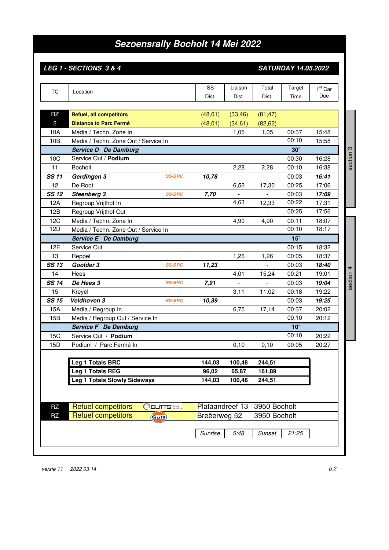## *Sezoensrally Bocholt 14 Mei 2022*

## *LEG 1 - SECTIONS 3 & 4*

 *SATURDAY 14.05.2022* 

| <b>TC</b>       | Location                                             | SS           | Liaison         | Total          | Target                       | $1st$ Car |           |
|-----------------|------------------------------------------------------|--------------|-----------------|----------------|------------------------------|-----------|-----------|
|                 |                                                      | Dist.        | Dist.           | Dist.          | Time                         | Due       |           |
|                 |                                                      |              |                 |                |                              |           |           |
| <b>RZ</b>       | <b>Refuel, all competitors</b>                       | (48, 01)     | (33, 46)        | (81, 47)       |                              |           |           |
| $\overline{c}$  | <b>Distance to Parc Fermé</b>                        | (48, 01)     | (34, 61)        | (82, 62)       |                              |           |           |
| 10A             | Media / Techn. Zone In                               |              | 1,05            | 1,05           | 00:37                        | 15:48     |           |
| 10B             | Media / Techn. Zone Out / Service In                 |              |                 |                | 00:10                        | 15:58     |           |
|                 | Service D De Damburg                                 |              |                 |                | 30'                          |           | section 3 |
| 10 <sub>C</sub> | Service Out / Podium                                 |              |                 |                | 00:30                        | 16:28     |           |
| 11              | <b>Bocholt</b>                                       |              | 2,28            | 2,28           | 00:10                        | 16:38     |           |
| <b>SS 11</b>    | Gerdingen 3<br><b>SS-BRC</b>                         | 10,78        |                 |                | 00:03                        | 16:41     |           |
| 12              | De Root                                              |              | 6,52            | 17,30          | 00:25                        | 17:06     |           |
| <b>SS 12</b>    | Steenberg 3<br><b>SS-BRC</b>                         | 7,70         | $\blacksquare$  | $\blacksquare$ | 00:03                        | 17:09     |           |
| 12A             | Regroup Vrijthof In                                  |              | 4,63            | 12,33          | 00:22                        | 17:31     |           |
| 12B             | Regroup Vrijthof Out                                 |              |                 | $\overline{a}$ | 00:25                        | 17:56     |           |
| 12C             | Media / Techn. Zone In                               |              | 4,90            | 4,90           | 00:11                        | 18:07     |           |
| 12D             | Media / Techn. Zone Out / Service In                 |              |                 |                | 00:10                        | 18:17     |           |
|                 | Service E De Damburg                                 |              |                 |                | 15'                          |           |           |
| 12E             | Service Out                                          |              |                 |                | 00:15                        | 18:32     |           |
| 13              | Reppel                                               |              | 1,26            | 1,26           | 00:05                        | 18:37     |           |
| <b>SS 13</b>    | Goolder 3<br><b>SS-BRC</b>                           | 11,23        |                 | $\overline{a}$ | 00:03                        | 18:40     |           |
| 14              | Hees                                                 |              | 4,01            | 15,24          | 00:21                        | 19:01     | section 4 |
| <b>SS 14</b>    | De Hees 3<br><b>SS-BRC</b>                           | 7,91         |                 | $\overline{a}$ | 00:03                        | 19:04     |           |
| 15              | Kreyel                                               |              | 3,11            | 11,02          | 00:18                        | 19:22     |           |
| <b>SS 15</b>    | Veldhoven 3<br><b>SS-BRC</b>                         | 10,39        |                 |                | 00:03                        | 19:25     |           |
| 15A             | Media / Regroup In                                   |              | 6,75            | 17,14          | 00:37                        | 20:02     |           |
| 15B             | Media / Regroup Out / Service In                     |              |                 |                | 00:10                        | 20:12     |           |
|                 | Service F De Damburg                                 |              |                 |                | 10'                          |           |           |
| <b>15C</b>      | Service Out / Podium                                 |              |                 |                | 00:10                        | 20:22     |           |
| 15D             | Podium / Parc Fermé In                               |              | 0, 10           | 0,10           | 00:05                        | 20:27     |           |
|                 |                                                      |              |                 |                |                              |           |           |
|                 | Leg 1 Totals BRC                                     | 144,03       | 100,48          | 244,51         |                              |           |           |
|                 | Leg 1 Totals REG                                     | 96,02        | 65,87           | 161,89         |                              |           |           |
|                 | Leg 1 Totals Slowly Sideways                         | 144,03       | 100,48          | 244,51         |                              |           |           |
|                 |                                                      |              |                 |                |                              |           |           |
|                 |                                                      |              |                 |                |                              |           |           |
| RZ              | <b>Refuel competitors</b><br><b>OGUTTS</b> Turbed    |              | Plataandreef 13 |                | 3950 Bocholt<br>3950 Bocholt |           |           |
| <b>RZ</b>       | <b>Refuel competitors</b><br>$\left($ Gulf $\right)$ | Breëerweg 52 |                 |                |                              |           |           |
|                 |                                                      | Sunrise      | 5:48            | Sunset         | 21:25                        |           |           |
|                 |                                                      |              |                 |                |                              |           |           |
|                 |                                                      |              |                 |                |                              |           |           |